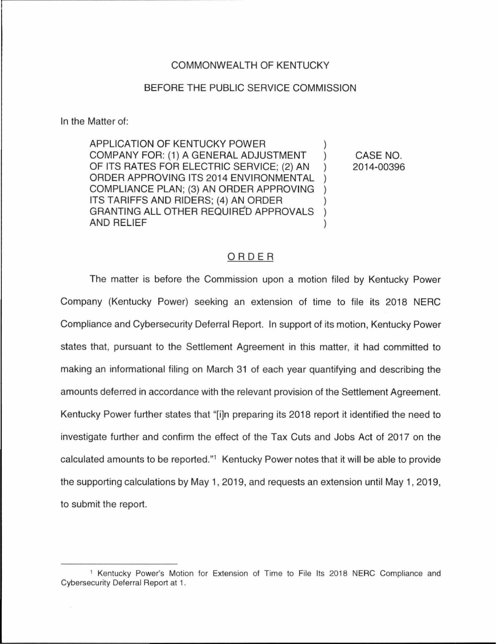## COMMONWEALTH OF KENTUCKY

## BEFORE THE PUBLIC SERVICE COMMISSION

In the Matter of:

APPLICATION OF KENTUCKY POWER COMPANY FOR: (1) A GENERAL ADJUSTMENT OF ITS RATES FOR ELECTRIC SERVICE: (2) AN ORDER APPROVING ITS 2014 ENVIRONMENTAL COMPLIANCE PLAN; (3) AN ORDER APPROVING ) ITS TARIFFS AND RIDERS; (4) AN ORDER GRANTING ALL OTHER REQUIRED APPROVALS ) AND RELIEF )

CASE NO. 2014-00396

## ORDER

The matter is before the Commission upon a motion filed by Kentucky Power Company (Kentucky Power) seeking an extension of time to file its 2018 NERC Compliance and Cybersecurity Deferral Report. In support of its motion, Kentucky Power states that, pursuant to the Settlement Agreement in this matter, it had committed to making an informational filing on March 31 of each year quantifying and describing the amounts deferred in accordance with the relevant provision of the Settlement Agreement. Kentucky Power further states that "[i]n preparing its 2018 report it identified the need to investigate further and confirm the effect of the Tax Cuts and Jobs Act of 2017 on the calculated amounts to be reported."1 Kentucky Power notes that it will be able to provide the supporting calculations by May 1, 2019, and requests an extension until May 1, 2019, to submit the report.

<sup>1</sup>Kentucky Power's Motion for Extension of Time to File Its 2018 NERC Compliance and Cybersecurity Deferral Report at 1.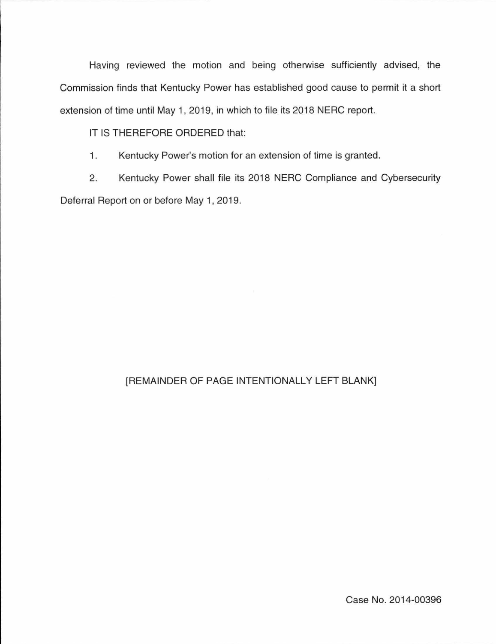Having reviewed the motion and being otherwise sufficiently advised, the Commission finds that Kentucky Power has established good cause to permit it a short extension of time until May 1, 2019, in which to file its 2018 NERC report.

IT IS THEREFORE ORDERED that:

1. Kentucky Power's motion for an extension of time is granted.

2. Kentucky Power shall file its 2018 NERC Compliance and Cybersecurity Deferral Report on or before May 1, 2019.

## [REMAINDER OF PAGE INTENTIONALLY LEFT BLANK]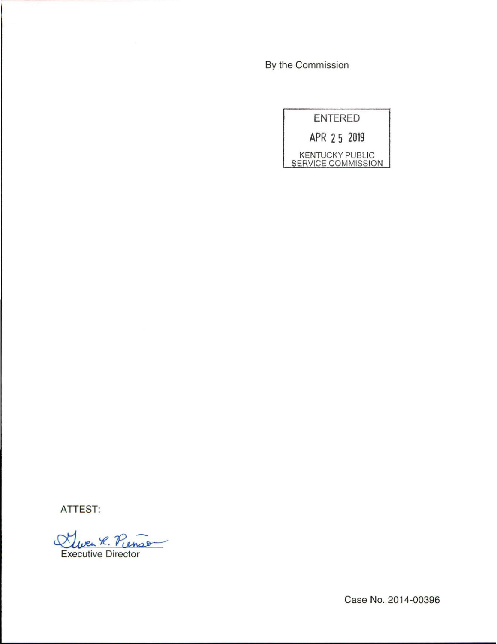By the Commission

| <b>ENTERED</b> |                                                     |
|----------------|-----------------------------------------------------|
|                | APR 25 2019                                         |
|                | <b>KENTUCKY PUBLIC</b><br><b>SERVICE COMMISSION</b> |

ATTEST:

Duen R. Pienso Executive Director

Case No. 2014-00396